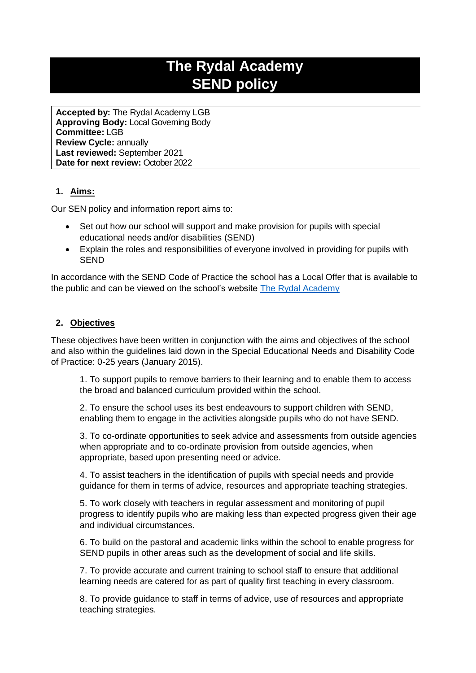# **The Rydal Academy SEND policy**

**Accepted by:** The Rydal Academy LGB **Approving Body:** Local Governing Body **Committee:** LGB **Review Cycle:** annually **Last reviewed:** September 2021 **Date for next review:** October 2022

# **1. Aims:**

Our SEN policy and information report aims to:

- Set out how our school will support and make provision for pupils with special educational needs and/or disabilities (SEND)
- Explain the roles and responsibilities of everyone involved in providing for pupils with SEND

In accordance with the SEND Code of Practice the school has a Local Offer that is available to the public and can be viewed on the school's website [The Rydal Academy](https://rydal.swiftacademies.org.uk/)

## **2. Objectives**

These objectives have been written in conjunction with the aims and objectives of the school and also within the guidelines laid down in the Special Educational Needs and Disability Code of Practice: 0-25 years (January 2015).

1. To support pupils to remove barriers to their learning and to enable them to access the broad and balanced curriculum provided within the school.

2. To ensure the school uses its best endeavours to support children with SEND, enabling them to engage in the activities alongside pupils who do not have SEND.

3. To co-ordinate opportunities to seek advice and assessments from outside agencies when appropriate and to co-ordinate provision from outside agencies, when appropriate, based upon presenting need or advice.

4. To assist teachers in the identification of pupils with special needs and provide guidance for them in terms of advice, resources and appropriate teaching strategies.

5. To work closely with teachers in regular assessment and monitoring of pupil progress to identify pupils who are making less than expected progress given their age and individual circumstances.

6. To build on the pastoral and academic links within the school to enable progress for SEND pupils in other areas such as the development of social and life skills.

7. To provide accurate and current training to school staff to ensure that additional learning needs are catered for as part of quality first teaching in every classroom.

8. To provide guidance to staff in terms of advice, use of resources and appropriate teaching strategies.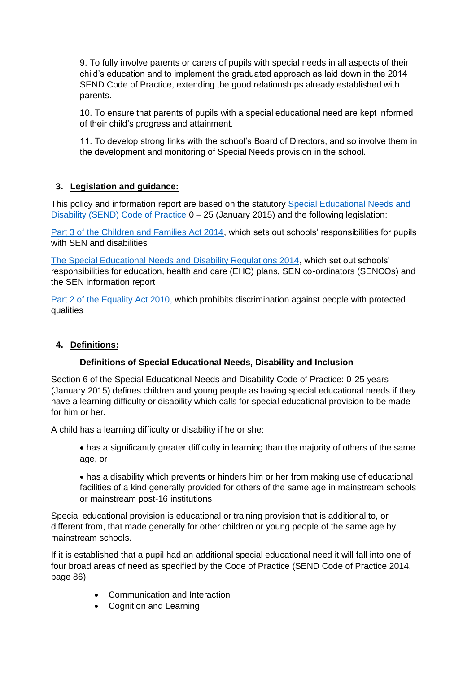9. To fully involve parents or carers of pupils with special needs in all aspects of their child's education and to implement the graduated approach as laid down in the 2014 SEND Code of Practice, extending the good relationships already established with parents.

10. To ensure that parents of pupils with a special educational need are kept informed of their child's progress and attainment.

11. To develop strong links with the school's Board of Directors, and so involve them in the development and monitoring of Special Needs provision in the school.

## **3. Legislation and guidance:**

This policy and information report are based on the statutory [Special Educational Needs and](https://www.gov.uk/government/uploads/system/uploads/attachment_data/file/398815/SEND_Code_of_Practice_January_2015.pdf)  [Disability \(SEND\) Code of Practice](https://www.gov.uk/government/uploads/system/uploads/attachment_data/file/398815/SEND_Code_of_Practice_January_2015.pdf) 0 – 25 (January 2015) and the following legislation:

[Part 3 of the Children and Families Act 2014,](http://www.legislation.gov.uk/ukpga/2014/6/part/3) which sets out schools' responsibilities for pupils with SEN and disabilities

[The Special Educational Needs and Disability Regulations 2014,](http://www.legislation.gov.uk/uksi/2014/1530/contents/made) which set out schools' responsibilities for education, health and care (EHC) plans, SEN co-ordinators (SENCOs) and the SEN information report

[Part 2 of the Equality Act 2010,](http://www.legislation.gov.uk/ukpga/2010/15/contents) which prohibits discrimination against people with protected qualities

## **4. Definitions:**

## **Definitions of Special Educational Needs, Disability and Inclusion**

Section 6 of the Special Educational Needs and Disability Code of Practice: 0-25 years (January 2015) defines children and young people as having special educational needs if they have a learning difficulty or disability which calls for special educational provision to be made for him or her.

A child has a learning difficulty or disability if he or she:

• has a significantly greater difficulty in learning than the majority of others of the same age, or

• has a disability which prevents or hinders him or her from making use of educational facilities of a kind generally provided for others of the same age in mainstream schools or mainstream post-16 institutions

Special educational provision is educational or training provision that is additional to, or different from, that made generally for other children or young people of the same age by mainstream schools.

If it is established that a pupil had an additional special educational need it will fall into one of four broad areas of need as specified by the Code of Practice (SEND Code of Practice 2014, page 86).

- Communication and Interaction
- Cognition and Learning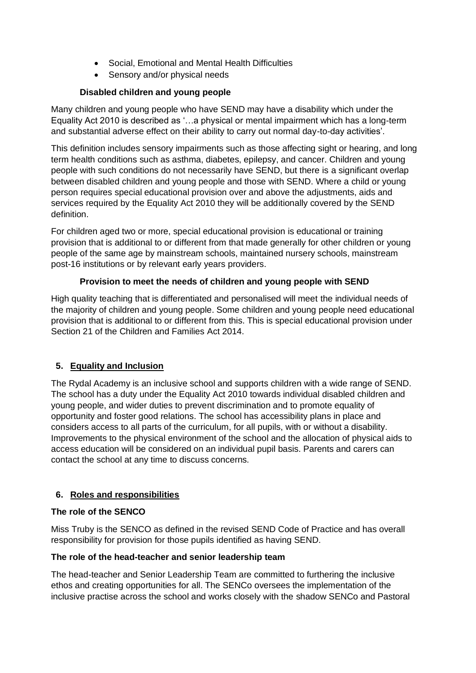- Social, Emotional and Mental Health Difficulties
- Sensory and/or physical needs

# **Disabled children and young people**

Many children and young people who have SEND may have a disability which under the Equality Act 2010 is described as '…a physical or mental impairment which has a long-term and substantial adverse effect on their ability to carry out normal day-to-day activities'.

This definition includes sensory impairments such as those affecting sight or hearing, and long term health conditions such as asthma, diabetes, epilepsy, and cancer. Children and young people with such conditions do not necessarily have SEND, but there is a significant overlap between disabled children and young people and those with SEND. Where a child or young person requires special educational provision over and above the adjustments, aids and services required by the Equality Act 2010 they will be additionally covered by the SEND definition.

For children aged two or more, special educational provision is educational or training provision that is additional to or different from that made generally for other children or young people of the same age by mainstream schools, maintained nursery schools, mainstream post-16 institutions or by relevant early years providers.

# **Provision to meet the needs of children and young people with SEND**

High quality teaching that is differentiated and personalised will meet the individual needs of the majority of children and young people. Some children and young people need educational provision that is additional to or different from this. This is special educational provision under Section 21 of the Children and Families Act 2014.

# **5. Equality and Inclusion**

The Rydal Academy is an inclusive school and supports children with a wide range of SEND. The school has a duty under the Equality Act 2010 towards individual disabled children and young people, and wider duties to prevent discrimination and to promote equality of opportunity and foster good relations. The school has accessibility plans in place and considers access to all parts of the curriculum, for all pupils, with or without a disability. Improvements to the physical environment of the school and the allocation of physical aids to access education will be considered on an individual pupil basis. Parents and carers can contact the school at any time to discuss concerns.

# **6. Roles and responsibilities**

## **The role of the SENCO**

Miss Truby is the SENCO as defined in the revised SEND Code of Practice and has overall responsibility for provision for those pupils identified as having SEND.

## **The role of the head-teacher and senior leadership team**

The head-teacher and Senior Leadership Team are committed to furthering the inclusive ethos and creating opportunities for all. The SENCo oversees the implementation of the inclusive practise across the school and works closely with the shadow SENCo and Pastoral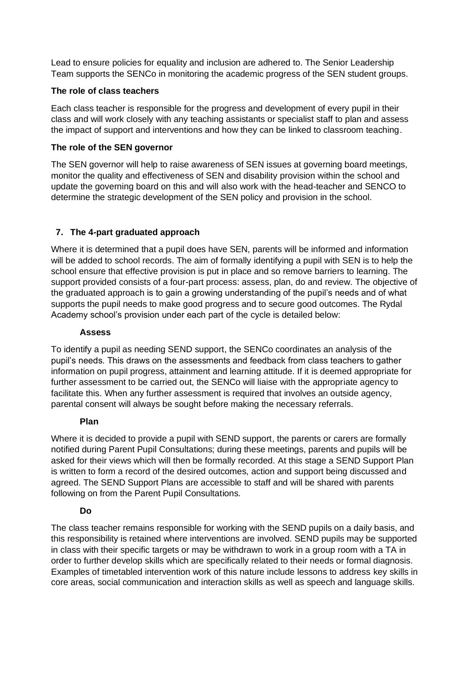Lead to ensure policies for equality and inclusion are adhered to. The Senior Leadership Team supports the SENCo in monitoring the academic progress of the SEN student groups.

#### **The role of class teachers**

Each class teacher is responsible for the progress and development of every pupil in their class and will work closely with any teaching assistants or specialist staff to plan and assess the impact of support and interventions and how they can be linked to classroom teaching.

#### **The role of the SEN governor**

The SEN governor will help to raise awareness of SEN issues at governing board meetings, monitor the quality and effectiveness of SEN and disability provision within the school and update the governing board on this and will also work with the head-teacher and SENCO to determine the strategic development of the SEN policy and provision in the school.

## **7. The 4-part graduated approach**

Where it is determined that a pupil does have SEN, parents will be informed and information will be added to school records. The aim of formally identifying a pupil with SEN is to help the school ensure that effective provision is put in place and so remove barriers to learning. The support provided consists of a four-part process: assess, plan, do and review. The objective of the graduated approach is to gain a growing understanding of the pupil's needs and of what supports the pupil needs to make good progress and to secure good outcomes. The Rydal Academy school's provision under each part of the cycle is detailed below:

#### **Assess**

To identify a pupil as needing SEND support, the SENCo coordinates an analysis of the pupil's needs. This draws on the assessments and feedback from class teachers to gather information on pupil progress, attainment and learning attitude. If it is deemed appropriate for further assessment to be carried out, the SENCo will liaise with the appropriate agency to facilitate this. When any further assessment is required that involves an outside agency, parental consent will always be sought before making the necessary referrals.

## **Plan**

Where it is decided to provide a pupil with SEND support, the parents or carers are formally notified during Parent Pupil Consultations; during these meetings, parents and pupils will be asked for their views which will then be formally recorded. At this stage a SEND Support Plan is written to form a record of the desired outcomes, action and support being discussed and agreed. The SEND Support Plans are accessible to staff and will be shared with parents following on from the Parent Pupil Consultations.

#### **Do**

The class teacher remains responsible for working with the SEND pupils on a daily basis, and this responsibility is retained where interventions are involved. SEND pupils may be supported in class with their specific targets or may be withdrawn to work in a group room with a TA in order to further develop skills which are specifically related to their needs or formal diagnosis. Examples of timetabled intervention work of this nature include lessons to address key skills in core areas, social communication and interaction skills as well as speech and language skills.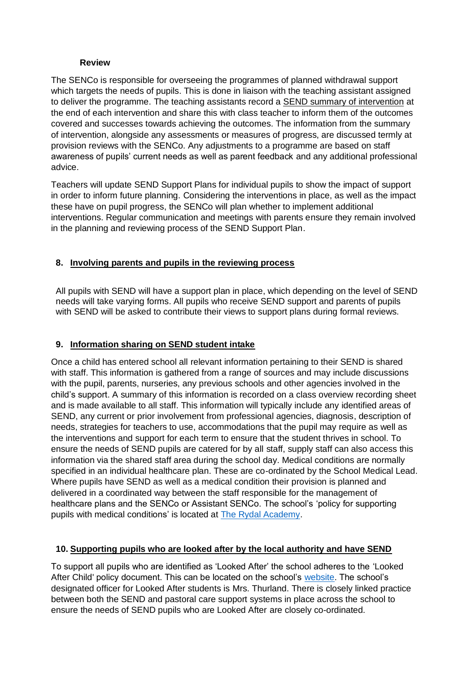#### **Review**

The SENCo is responsible for overseeing the programmes of planned withdrawal support which targets the needs of pupils. This is done in liaison with the teaching assistant assigned to deliver the programme. The teaching assistants record a SEND summary of intervention at the end of each intervention and share this with class teacher to inform them of the outcomes covered and successes towards achieving the outcomes. The information from the summary of intervention, alongside any assessments or measures of progress, are discussed termly at provision reviews with the SENCo. Any adjustments to a programme are based on staff awareness of pupils' current needs as well as parent feedback and any additional professional advice.

Teachers will update SEND Support Plans for individual pupils to show the impact of support in order to inform future planning. Considering the interventions in place, as well as the impact these have on pupil progress, the SENCo will plan whether to implement additional interventions. Regular communication and meetings with parents ensure they remain involved in the planning and reviewing process of the SEND Support Plan.

#### **8. Involving parents and pupils in the reviewing process**

All pupils with SEND will have a support plan in place, which depending on the level of SEND needs will take varying forms. All pupils who receive SEND support and parents of pupils with SEND will be asked to contribute their views to support plans during formal reviews.

#### **9. Information sharing on SEND student intake**

Once a child has entered school all relevant information pertaining to their SEND is shared with staff. This information is gathered from a range of sources and may include discussions with the pupil, parents, nurseries, any previous schools and other agencies involved in the child's support. A summary of this information is recorded on a class overview recording sheet and is made available to all staff. This information will typically include any identified areas of SEND, any current or prior involvement from professional agencies, diagnosis, description of needs, strategies for teachers to use, accommodations that the pupil may require as well as the interventions and support for each term to ensure that the student thrives in school. To ensure the needs of SEND pupils are catered for by all staff, supply staff can also access this information via the shared staff area during the school day. Medical conditions are normally specified in an individual healthcare plan. These are co-ordinated by the School Medical Lead. Where pupils have SEND as well as a medical condition their provision is planned and delivered in a coordinated way between the staff responsible for the management of healthcare plans and the SENCo or Assistant SENCo. The school's 'policy for supporting pupils with medical conditions' is located at [The Rydal Academy.](https://rydal.swiftacademies.org.uk/)

## **10. Supporting pupils who are looked after by the local authority and have SEND**

To support all pupils who are identified as 'Looked After' the school adheres to the 'Looked After Child' policy document. This can be located on the school's [website.](https://rydal.swiftacademies.org.uk/) The school's designated officer for Looked After students is Mrs. Thurland. There is closely linked practice between both the SEND and pastoral care support systems in place across the school to ensure the needs of SEND pupils who are Looked After are closely co-ordinated.